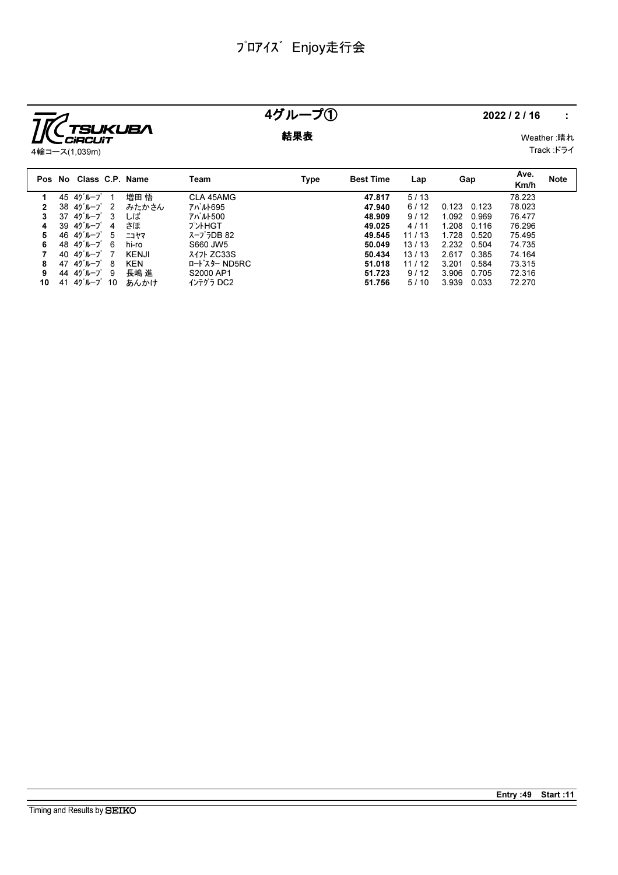

Timing and Results by SEIKO

## 4グループ① 2022/2/16 :

**結果表** Weather :晴れ Track :ドライ

|    |    | Pos No Class C.P. Name                 |    |              | Team          | Type | <b>Best Time</b> | Lap   | Gap   |       | Ave.<br>Km/h | <b>Note</b> |
|----|----|----------------------------------------|----|--------------|---------------|------|------------------|-------|-------|-------|--------------|-------------|
|    |    | 45 4グループ                               |    | 増田 悟         | CLA 45AMG     |      | 47.817           | 5/13  |       |       | 78.223       |             |
| 2  |    | $38 \t40^{\circ}$ $\mu$ $-7^{\circ}$ 2 |    | みたかさん        | アバルト695       |      | 47.940           | 6/12  | 0.123 | 0.123 | 78.023       |             |
| 3  | 37 | 4グループ 3                                |    | しば           | アバルト500       |      | 48.909           | 9/12  | 1.092 | 0.969 | 76.477       |             |
| 4  |    | 39 4グループ                               | -4 | さほ           | プントHGT        |      | 49.025           | 4/11  | 1.208 | 0.116 | 76.296       |             |
| 5  |    | 46 $45 - 7$ 5                          |    | ニコヤマ         | スープラDB 82     |      | 49.545           | 11/13 | 1.728 | 0.520 | 75.495       |             |
| 6  |    | 48 4ケループ 6                             |    | hi-ro        | S660 JW5      |      | 50.049           | 13/13 | 2.232 | 0.504 | 74.735       |             |
|    | 40 | 4グループ 7                                |    | <b>KENJI</b> | 317 ZC33S     |      | 50.434           | 13/13 | 2.617 | 0.385 | 74.164       |             |
| 8  | 47 | 4グループ                                  | -8 | <b>KEN</b>   | ロート・スター ND5RC |      | 51.018           | 11/12 | 3.201 | 0.584 | 73.315       |             |
| 9  |    | 44 $45 - 7$ 9                          |    | 長嶋 進         | S2000 AP1     |      | 51.723           | 9/12  | 3.906 | 0.705 | 72.316       |             |
| 10 | 41 | 4グループ 10                               |    | あんかけ         | インテグラ DC2     |      | 51.756           | 5/10  | 3.939 | 0.033 | 72.270       |             |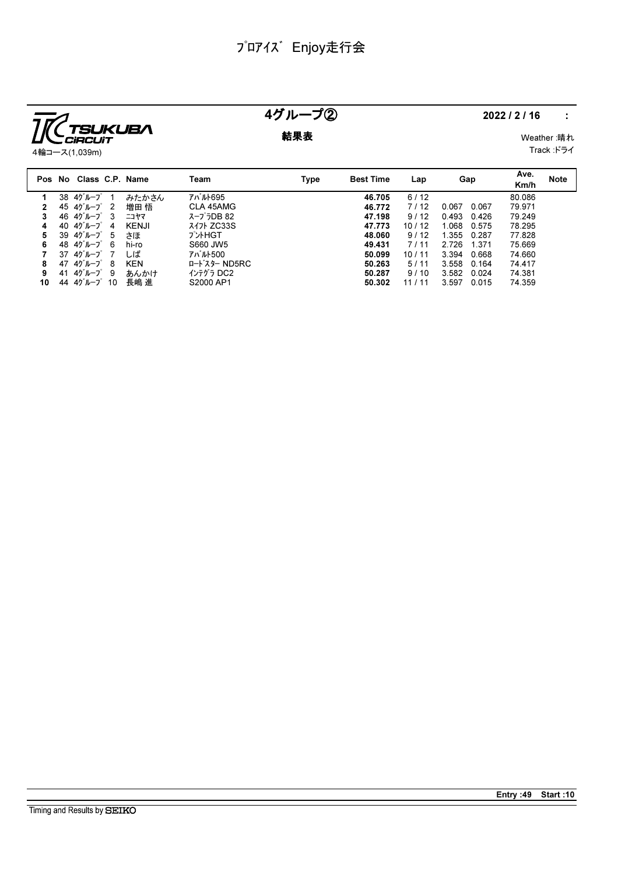

### 4グループ② 2022/2/16 :

**結果表** Weather :晴れ

4輪コース(1,039m)

| veatner :啃 <i>x</i> し |  |
|-----------------------|--|
| Track :ドライ            |  |

|    | Class C.P. Name<br>Pos No |            | Team          | Type | <b>Best Time</b> | Lap   | Gap            | Ave.<br>Km/h | <b>Note</b> |
|----|---------------------------|------------|---------------|------|------------------|-------|----------------|--------------|-------------|
|    | 4グループ<br>38               | みたかさん      | アバルト695       |      | 46.705           | 6/12  |                | 80.086       |             |
|    | 4グループ 2<br>45             | 増田 悟       | CLA 45AMG     |      | 46.772           | 7/12  | 0.067<br>0.067 | 79.971       |             |
| 3  | 4グループ<br>3<br>46          | ニコヤマ       | スープラDB 82     |      | 47.198           | 9/12  | 0.493<br>0.426 | 79.249       |             |
| 4  | 4グループ<br>40<br>-4         | KENJI      | スイフト ZC33S    |      | 47.773           | 10/12 | 1.068<br>0.575 | 78.295       |             |
| 5  | 4グループ 5<br>39             | さほ         | プントHGT        |      | 48.060           | 9/12  | 1.355<br>0.287 | 77.828       |             |
| 6. | 48 $45 - 7$ 6             | hi-ro      | S660 JW5      |      | 49.431           | 7/11  | 1.371<br>2.726 | 75.669       |             |
|    | 37<br>4グループ 7             | しば         | アバルト500       |      | 50.099           | 10/11 | 3.394<br>0.668 | 74.660       |             |
| 8  | 4グループ 8<br>47             | <b>KEN</b> | ロート・スター ND5RC |      | 50.263           | 5/11  | 3.558<br>0.164 | 74.417       |             |
| 9  | 4グループ9<br>41              | あんかけ       | インテグラ DC2     |      | 50.287           | 9/10  | 3.582<br>0.024 | 74.381       |             |
| 10 | 44 $45 - 7$ 10            | 長嶋 進       | S2000 AP1     |      | 50.302           | 11/11 | 3.597<br>0.015 | 74.359       |             |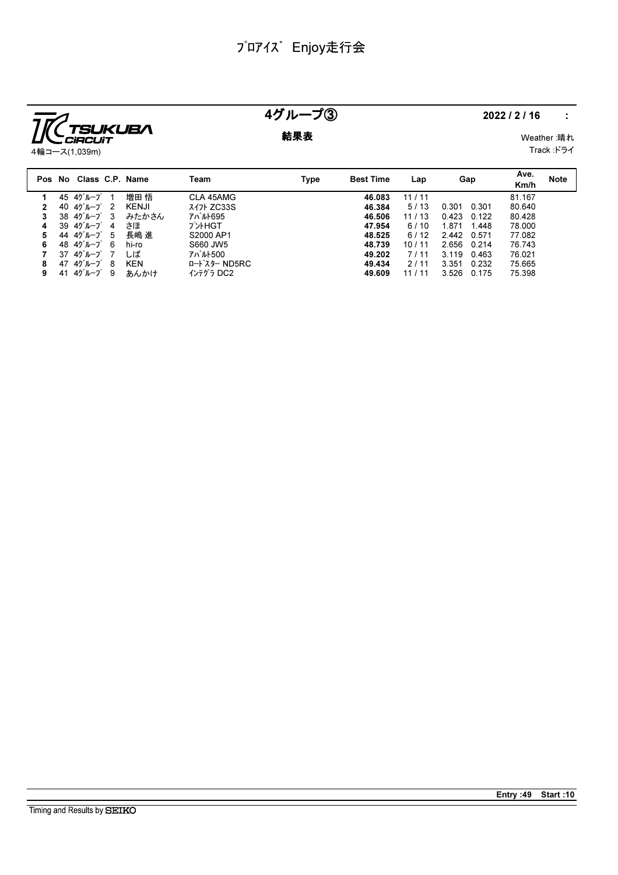

### 4グループ③ 2022/2/16 :

**結果表** Weather :晴れ

Track :ドライ

|                                                                                                 | Km/h            | <b>Note</b> |
|-------------------------------------------------------------------------------------------------|-----------------|-------------|
| 増田 悟<br>CLA 45AMG<br>11/11<br>4グループ<br>46.083<br>45                                             | 81.167          |             |
| <b>スイ가 ZC33S</b><br>4グルーブ<br>KENJI<br>46.384<br>- 2<br>5/13<br>40<br>0.301                      | 80.640<br>0.301 |             |
| アバルト695<br>4グループ 3<br>38<br>みたかさん<br>46.506<br>11/13<br>0.423                                   | 80.428<br>0.122 |             |
| プントHGT<br>39 4グループ<br>おほ<br>6/10<br>1.871<br>47.954<br>-4                                       | 78.000<br>1.448 |             |
| 長嶋 進<br>S2000 AP1<br>44 4グループ 5<br>48.525<br>6/12<br>2442                                       | 77.082<br>0.571 |             |
| 48.40 $^{\circ}$ $\mu$ $-$ 7 $^{\circ}$ 6<br>hi-ro<br>S660 JW5<br>48.739<br>2.656<br>10/11<br>6 | 76.743<br>0.214 |             |
| アバルト500<br>37<br>4グループ<br>しば<br>3.119<br>7/11<br>49.202                                         | 76.021<br>0.463 |             |
| ロート・スター ND5RC<br>4グループ<br>KEN<br>47<br>49.434<br>3.351<br>-8<br>2/11                            | 75.665<br>0.232 |             |
| インテグラ DC2<br>4グループ<br>49.609<br>3.526<br>-9<br>41<br>あんかけ<br>9<br>11/11                         | 75.398<br>0.175 |             |